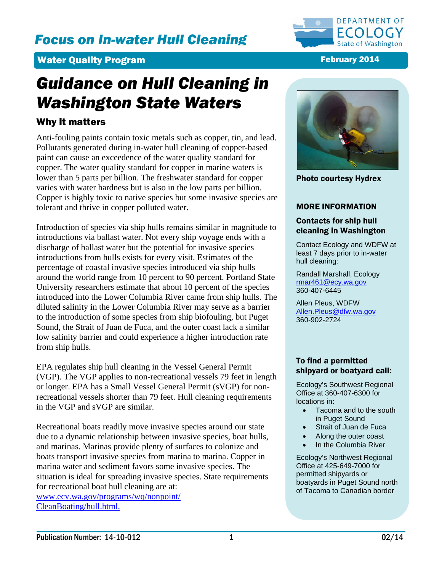# *Focus on In-water Hull Cleaning*



# **Water Quality Program February 2014**

# *Guidance on Hull Cleaning in Washington State Waters*

# Why it matters

Anti-fouling paints contain toxic metals such as copper, tin, and lead. Pollutants generated during in-water hull cleaning of copper-based paint can cause an exceedence of the water quality standard for copper. The water quality standard for copper in marine waters is lower than 5 parts per billion. The freshwater standard for copper varies with water hardness but is also in the low parts per billion. Copper is highly toxic to native species but some invasive species are tolerant and thrive in copper polluted water.

Introduction of species via ship hulls remains similar in magnitude to introductions via ballast water. Not every ship voyage ends with a discharge of ballast water but the potential for invasive species introductions from hulls exists for every visit. Estimates of the percentage of coastal invasive species introduced via ship hulls around the world range from 10 percent to 90 percent. Portland State University researchers estimate that about 10 percent of the species introduced into the Lower Columbia River came from ship hulls. The diluted salinity in the Lower Columbia River may serve as a barrier to the introduction of some species from ship biofouling, but Puget Sound, the Strait of Juan de Fuca, and the outer coast lack a similar low salinity barrier and could experience a higher introduction rate from ship hulls.

EPA regulates ship hull cleaning in the Vessel General Permit (VGP). The VGP applies to non-recreational vessels 79 feet in length or longer. EPA has a Small Vessel General Permit (sVGP) for nonrecreational vessels shorter than 79 feet. Hull cleaning requirements in the VGP and sVGP are similar.

Recreational boats readily move invasive species around our state due to a dynamic relationship between invasive species, boat hulls, and marinas. Marinas provide plenty of surfaces to colonize and boats transport invasive species from marina to marina. Copper in marina water and sediment favors some invasive species. The situation is ideal for spreading invasive species. State requirements for recreational boat hull cleaning are at:

[www.ecy.wa.gov/programs/wq/nonpoint/](http://www.ecy.wa.gov/programs/wq/nonpoint/CleanBoating/hull.html) [CleanBoating/hull.html.](http://www.ecy.wa.gov/programs/wq/nonpoint/CleanBoating/hull.html)



Photo courtesy Hydrex

# MORE INFORMATION

## Contacts for ship hull cleaning in Washington

Contact Ecology and WDFW at least 7 days prior to in-water hull cleaning:

Randall Marshall, Ecology [rmar461@ecy.wa.gov](mailto:rmar461@ecy.wa.gov) 360-407-6445

Allen Pleus, WDFW [Allen.Pleus@dfw.wa.gov](mailto:Allen.Pleus@dfw.wa.gov) 360-902-2724

# To find a permitted shipyard or boatyard call:

Ecology's Southwest Regional Office at 360-407-6300 for locations in:

- Tacoma and to the south in Puget Sound
- Strait of Juan de Fuca
- Along the outer coast
- In the Columbia River

Ecology's Northwest Regional Office at 425-649-7000 for permitted shipyards or boatyards in Puget Sound north of Tacoma to Canadian border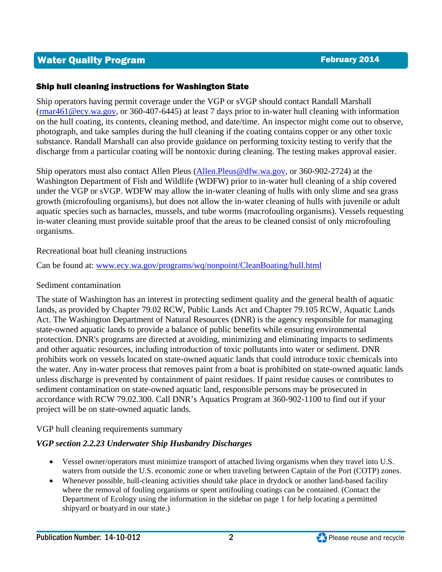# Water Quality Program February 2014

# Ship hull cleaning instructions for Washington State

Ship operators having permit coverage under the VGP or sVGP should contact Randall Marshall [\(rmar461@ecy.wa.gov,](mailto:rmar461@ecy.wa.gov) or 360-407-6445) at least 7 days prior to in-water hull cleaning with information on the hull coating, its contents, cleaning method, and date/time. An inspector might come out to observe, photograph, and take samples during the hull cleaning if the coating contains copper or any other toxic substance. Randall Marshall can also provide guidance on performing toxicity testing to verify that the discharge from a particular coating will be nontoxic during cleaning. The testing makes approval easier.

Ship operators must also contact Allen Pleus [\(Allen.Pleus@dfw.wa.gov,](mailto:Allen.Pleus@dfw.wa.gov) or 360-902-2724) at the Washington Department of Fish and Wildlife (WDFW) prior to in-water hull cleaning of a ship covered under the VGP or sVGP. WDFW may allow the in-water cleaning of hulls with only slime and sea grass growth (microfouling organisms), but does not allow the in-water cleaning of hulls with juvenile or adult aquatic species such as barnacles, mussels, and tube worms (macrofouling organisms). Vessels requesting in-water cleaning must provide suitable proof that the areas to be cleaned consist of only microfouling organisms.

# Recreational boat hull cleaning instructions

Can be found at: [www.ecy.wa.gov/programs/wq/nonpoint/CleanBoating/hull.html](http://www.ecy.wa.gov/programs/wq/nonpoint/CleanBoating/hull.html)

# Sediment contamination

The state of Washington has an interest in protecting sediment quality and the general health of aquatic lands, as provided by Chapter 79.02 RCW, Public Lands Act and Chapter 79.105 RCW, Aquatic Lands Act. The Washington Department of Natural Resources (DNR) is the agency responsible for managing state-owned aquatic lands to provide a balance of public benefits while ensuring environmental protection. DNR's programs are directed at avoiding, minimizing and eliminating impacts to sediments and other aquatic resources, including introduction of toxic pollutants into water or sediment. DNR prohibits work on vessels located on state-owned aquatic lands that could introduce toxic chemicals into the water. Any in-water process that removes paint from a boat is prohibited on state-owned aquatic lands unless discharge is prevented by containment of paint residues. If paint residue causes or contributes to sediment contamination on state-owned aquatic land, responsible persons may be prosecuted in accordance with RCW 79.02.300. Call DNR's Aquatics Program at 360-902-1100 to find out if your project will be on state-owned aquatic lands.

# VGP hull cleaning requirements summary

# *VGP section 2.2.23 Underwater Ship Husbandry Discharges*

- Vessel owner/operators must minimize transport of attached living organisms when they travel into U.S. waters from outside the U.S. economic zone or when traveling between Captain of the Port (COTP) zones.
- Whenever possible, hull-cleaning activities should take place in drydock or another land-based facility where the removal of fouling organisms or spent antifouling coatings can be contained. (Contact the Department of Ecology using the information in the sidebar on page 1 for help locating a permitted shipyard or boatyard in our state.)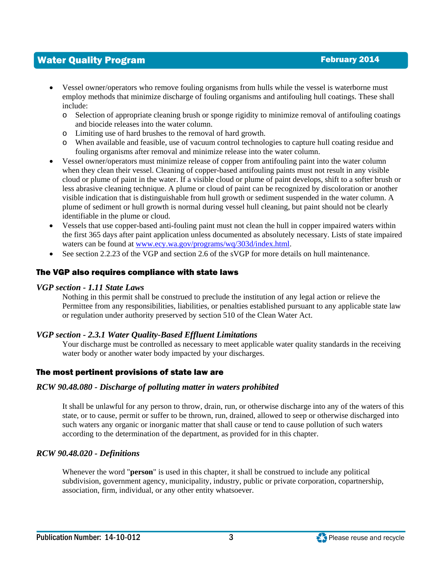# Water Quality Program February 2014

- Vessel owner/operators who remove fouling organisms from hulls while the vessel is waterborne must employ methods that minimize discharge of fouling organisms and antifouling hull coatings. These shall include:
	- o Selection of appropriate cleaning brush or sponge rigidity to minimize removal of antifouling coatings and biocide releases into the water column.
	- o Limiting use of hard brushes to the removal of hard growth.
	- o When available and feasible, use of vacuum control technologies to capture hull coating residue and fouling organisms after removal and minimize release into the water column.
- Vessel owner/operators must minimize release of copper from antifouling paint into the water column when they clean their vessel. Cleaning of copper-based antifouling paints must not result in any visible cloud or plume of paint in the water. If a visible cloud or plume of paint develops, shift to a softer brush or less abrasive cleaning technique. A plume or cloud of paint can be recognized by discoloration or another visible indication that is distinguishable from hull growth or sediment suspended in the water column. A plume of sediment or hull growth is normal during vessel hull cleaning, but paint should not be clearly identifiable in the plume or cloud.
- Vessels that use copper-based anti-fouling paint must not clean the hull in copper impaired waters within the first 365 days after paint application unless documented as absolutely necessary. Lists of state impaired waters can be found at [www.ecy.wa.gov/programs/wq/303d/index.html.](http://www.ecy.wa.gov/programs/wq/303d/index.html)
- See section 2.2.23 of the VGP and section 2.6 of the sVGP for more details on hull maintenance.

### The VGP also requires compliance with state laws

#### *VGP section - 1.11 State Laws*

Nothing in this permit shall be construed to preclude the institution of any legal action or relieve the Permittee from any responsibilities, liabilities, or penalties established pursuant to any applicable state law or regulation under authority preserved by section 510 of the Clean Water Act.

### *VGP section - 2.3.1 Water Quality-Based Effluent Limitations*

Your discharge must be controlled as necessary to meet applicable water quality standards in the receiving water body or another water body impacted by your discharges.

### The most pertinent provisions of state law are

### *RCW 90.48.080 - Discharge of polluting matter in waters prohibited*

It shall be unlawful for any person to throw, drain, run, or otherwise discharge into any of the waters of this state, or to cause, permit or suffer to be thrown, run, drained, allowed to seep or otherwise discharged into such waters any organic or inorganic matter that shall cause or tend to cause pollution of such waters according to the determination of the department, as provided for in this chapter.

### *RCW 90.48.020 - Definitions*

Whenever the word "**person**" is used in this chapter, it shall be construed to include any political subdivision, government agency, municipality, industry, public or private corporation, copartnership, association, firm, individual, or any other entity whatsoever.